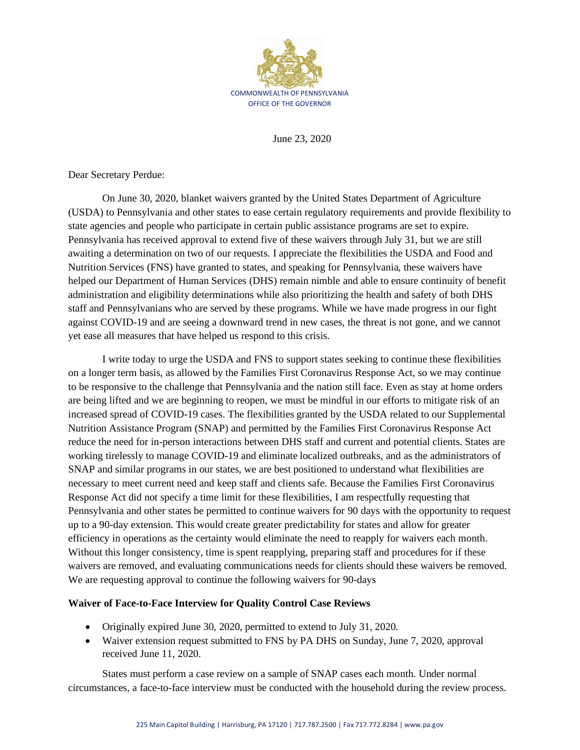

June 23, 2020

Dear Secretary Perdue:

On June 30, 2020, blanket waivers granted by the United States Department of Agriculture (USDA) to Pennsylvania and other states to ease certain regulatory requirements and provide flexibility to state agencies and people who participate in certain public assistance programs are set to expire. Pennsylvania has received approval to extend five of these waivers through July 31, but we are still awaiting a determination on two of our requests. I appreciate the flexibilities the USDA and Food and Nutrition Services (FNS) have granted to states, and speaking for Pennsylvania, these waivers have helped our Department of Human Services (DHS) remain nimble and able to ensure continuity of benefit administration and eligibility determinations while also prioritizing the health and safety of both DHS staff and Pennsylvanians who are served by these programs. While we have made progress in our fight against COVID-19 and are seeing a downward trend in new cases, the threat is not gone, and we cannot yet ease all measures that have helped us respond to this crisis.

I write today to urge the USDA and FNS to support states seeking to continue these flexibilities on a longer term basis, as allowed by the Families First Coronavirus Response Act, so we may continue to be responsive to the challenge that Pennsylvania and the nation still face. Even as stay at home orders are being lifted and we are beginning to reopen, we must be mindful in our efforts to mitigate risk of an increased spread of COVID-19 cases. The flexibilities granted by the USDA related to our Supplemental Nutrition Assistance Program (SNAP) and permitted by the Families First Coronavirus Response Act reduce the need for in-person interactions between DHS staff and current and potential clients. States are working tirelessly to manage COVID-19 and eliminate localized outbreaks, and as the administrators of SNAP and similar programs in our states, we are best positioned to understand what flexibilities are necessary to meet current need and keep staff and clients safe. Because the Families First Coronavirus Response Act did not specify a time limit for these flexibilities, I am respectfully requesting that Pennsylvania and other states be permitted to continue waivers for 90 days with the opportunity to request up to a 90-day extension. This would create greater predictability for states and allow for greater efficiency in operations as the certainty would eliminate the need to reapply for waivers each month. Without this longer consistency, time is spent reapplying, preparing staff and procedures for if these waivers are removed, and evaluating communications needs for clients should these waivers be removed. We are requesting approval to continue the following waivers for 90-days

## **Waiver of Face-to-Face Interview for Quality Control Case Reviews**

- Originally expired June 30, 2020, permitted to extend to July 31, 2020.
- Waiver extension request submitted to FNS by PA DHS on Sunday, June 7, 2020, approval received June 11, 2020.

States must perform a case review on a sample of SNAP cases each month. Under normal circumstances, a face-to-face interview must be conducted with the household during the review process.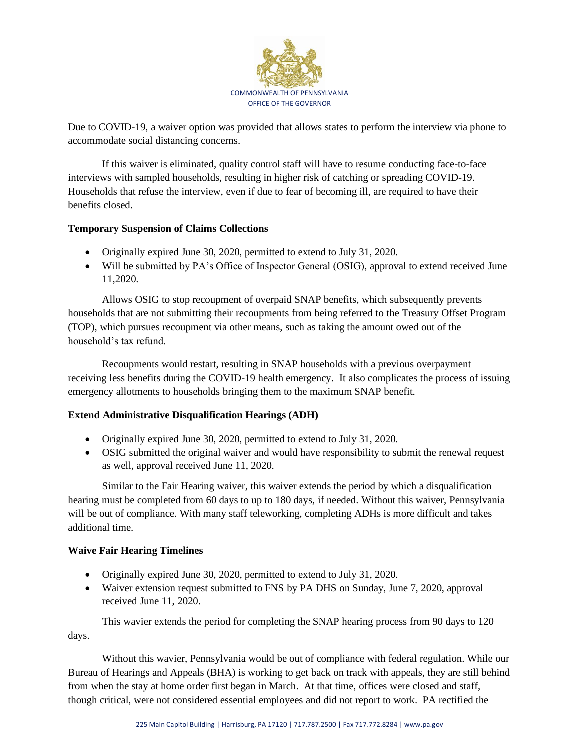

Due to COVID-19, a waiver option was provided that allows states to perform the interview via phone to accommodate social distancing concerns.

If this waiver is eliminated, quality control staff will have to resume conducting face-to-face interviews with sampled households, resulting in higher risk of catching or spreading COVID-19. Households that refuse the interview, even if due to fear of becoming ill, are required to have their benefits closed.

## **Temporary Suspension of Claims Collections**

- Originally expired June 30, 2020, permitted to extend to July 31, 2020.
- Will be submitted by PA's Office of Inspector General (OSIG), approval to extend received June 11,2020.

Allows OSIG to stop recoupment of overpaid SNAP benefits, which subsequently prevents households that are not submitting their recoupments from being referred to the Treasury Offset Program (TOP), which pursues recoupment via other means, such as taking the amount owed out of the household's tax refund.

Recoupments would restart, resulting in SNAP households with a previous overpayment receiving less benefits during the COVID-19 health emergency. It also complicates the process of issuing emergency allotments to households bringing them to the maximum SNAP benefit.

# **Extend Administrative Disqualification Hearings (ADH)**

- Originally expired June 30, 2020, permitted to extend to July 31, 2020.
- OSIG submitted the original waiver and would have responsibility to submit the renewal request as well, approval received June 11, 2020.

Similar to the Fair Hearing waiver, this waiver extends the period by which a disqualification hearing must be completed from 60 days to up to 180 days, if needed. Without this waiver, Pennsylvania will be out of compliance. With many staff teleworking, completing ADHs is more difficult and takes additional time.

## **Waive Fair Hearing Timelines**

- Originally expired June 30, 2020, permitted to extend to July 31, 2020.
- Waiver extension request submitted to FNS by PA DHS on Sunday, June 7, 2020, approval received June 11, 2020.

This wavier extends the period for completing the SNAP hearing process from 90 days to 120 days.

Without this wavier, Pennsylvania would be out of compliance with federal regulation. While our Bureau of Hearings and Appeals (BHA) is working to get back on track with appeals, they are still behind from when the stay at home order first began in March. At that time, offices were closed and staff, though critical, were not considered essential employees and did not report to work. PA rectified the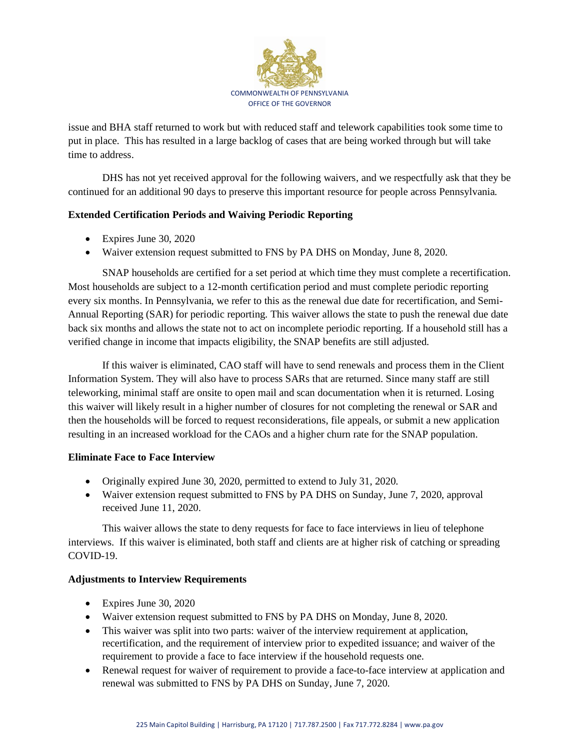

issue and BHA staff returned to work but with reduced staff and telework capabilities took some time to put in place. This has resulted in a large backlog of cases that are being worked through but will take time to address.

DHS has not yet received approval for the following waivers, and we respectfully ask that they be continued for an additional 90 days to preserve this important resource for people across Pennsylvania.

## **Extended Certification Periods and Waiving Periodic Reporting**

- Expires June 30, 2020
- Waiver extension request submitted to FNS by PA DHS on Monday, June 8, 2020.

SNAP households are certified for a set period at which time they must complete a recertification. Most households are subject to a 12-month certification period and must complete periodic reporting every six months. In Pennsylvania, we refer to this as the renewal due date for recertification, and Semi-Annual Reporting (SAR) for periodic reporting. This waiver allows the state to push the renewal due date back six months and allows the state not to act on incomplete periodic reporting. If a household still has a verified change in income that impacts eligibility, the SNAP benefits are still adjusted.

If this waiver is eliminated, CAO staff will have to send renewals and process them in the Client Information System. They will also have to process SARs that are returned. Since many staff are still teleworking, minimal staff are onsite to open mail and scan documentation when it is returned. Losing this waiver will likely result in a higher number of closures for not completing the renewal or SAR and then the households will be forced to request reconsiderations, file appeals, or submit a new application resulting in an increased workload for the CAOs and a higher churn rate for the SNAP population.

## **Eliminate Face to Face Interview**

- Originally expired June 30, 2020, permitted to extend to July 31, 2020.
- Waiver extension request submitted to FNS by PA DHS on Sunday, June 7, 2020, approval received June 11, 2020.

This waiver allows the state to deny requests for face to face interviews in lieu of telephone interviews. If this waiver is eliminated, both staff and clients are at higher risk of catching or spreading COVID-19.

## **Adjustments to Interview Requirements**

- Expires June 30, 2020
- Waiver extension request submitted to FNS by PA DHS on Monday, June 8, 2020.
- This waiver was split into two parts: waiver of the interview requirement at application, recertification, and the requirement of interview prior to expedited issuance; and waiver of the requirement to provide a face to face interview if the household requests one.
- Renewal request for waiver of requirement to provide a face-to-face interview at application and renewal was submitted to FNS by PA DHS on Sunday, June 7, 2020.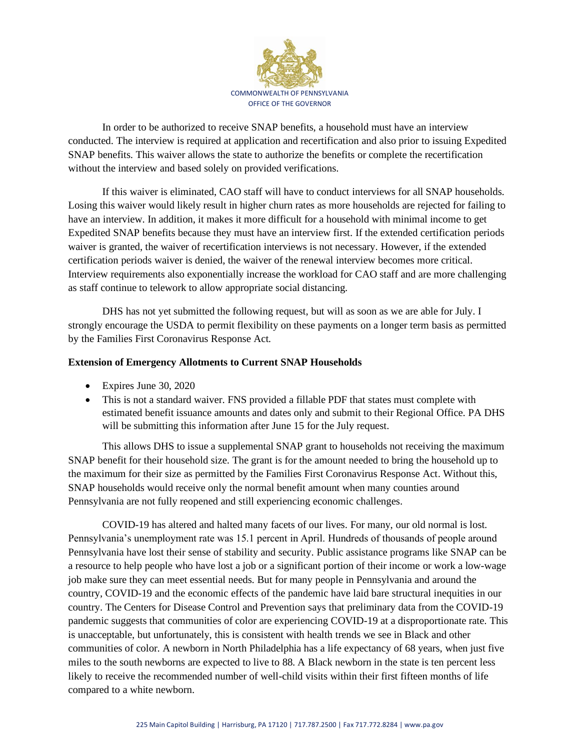

In order to be authorized to receive SNAP benefits, a household must have an interview conducted. The interview is required at application and recertification and also prior to issuing Expedited SNAP benefits. This waiver allows the state to authorize the benefits or complete the recertification without the interview and based solely on provided verifications.

If this waiver is eliminated, CAO staff will have to conduct interviews for all SNAP households. Losing this waiver would likely result in higher churn rates as more households are rejected for failing to have an interview. In addition, it makes it more difficult for a household with minimal income to get Expedited SNAP benefits because they must have an interview first. If the extended certification periods waiver is granted, the waiver of recertification interviews is not necessary. However, if the extended certification periods waiver is denied, the waiver of the renewal interview becomes more critical. Interview requirements also exponentially increase the workload for CAO staff and are more challenging as staff continue to telework to allow appropriate social distancing.

DHS has not yet submitted the following request, but will as soon as we are able for July. I strongly encourage the USDA to permit flexibility on these payments on a longer term basis as permitted by the Families First Coronavirus Response Act.

## **Extension of Emergency Allotments to Current SNAP Households**

- Expires June 30, 2020
- This is not a standard waiver. FNS provided a fillable PDF that states must complete with estimated benefit issuance amounts and dates only and submit to their Regional Office. PA DHS will be submitting this information after June 15 for the July request.

This allows DHS to issue a supplemental SNAP grant to households not receiving the maximum SNAP benefit for their household size. The grant is for the amount needed to bring the household up to the maximum for their size as permitted by the Families First Coronavirus Response Act. Without this, SNAP households would receive only the normal benefit amount when many counties around Pennsylvania are not fully reopened and still experiencing economic challenges.

COVID-19 has altered and halted many facets of our lives. For many, our old normal is lost. Pennsylvania's unemployment rate was 15.1 percent in April. Hundreds of thousands of people around Pennsylvania have lost their sense of stability and security. Public assistance programs like SNAP can be a resource to help people who have lost a job or a significant portion of their income or work a low-wage job make sure they can meet essential needs. But for many people in Pennsylvania and around the country, COVID-19 and the economic effects of the pandemic have laid bare structural inequities in our country. The Centers for Disease Control and Prevention says that preliminary data from the COVID-19 pandemic suggests that communities of color are experiencing COVID-19 at a disproportionate rate. This is unacceptable, but unfortunately, this is consistent with health trends we see in Black and other communities of color. A newborn in North Philadelphia has a life expectancy of 68 years, when just five miles to the south newborns are expected to live to 88. A Black newborn in the state is ten percent less likely to receive the recommended number of well-child visits within their first fifteen months of life compared to a white newborn.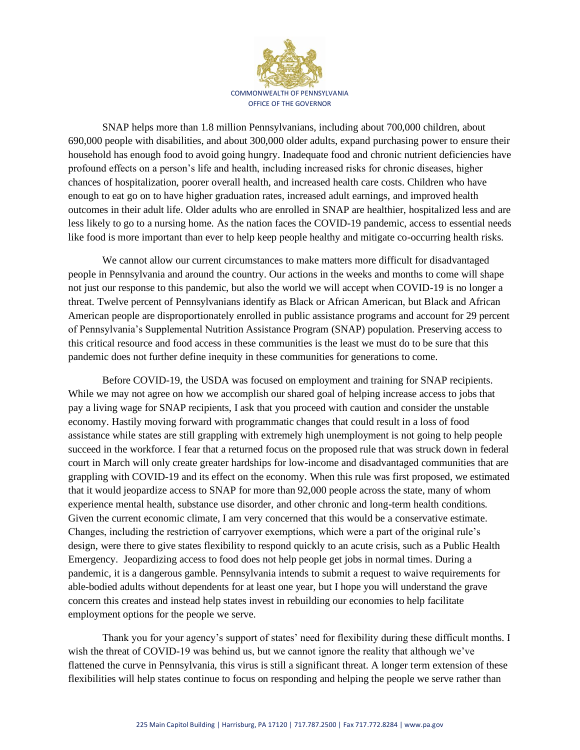

SNAP helps more than 1.8 million Pennsylvanians, including about 700,000 children, about 690,000 people with disabilities, and about 300,000 older adults, expand purchasing power to ensure their household has enough food to avoid going hungry. Inadequate food and chronic nutrient deficiencies have profound effects on a person's life and health, including increased risks for chronic diseases, higher chances of hospitalization, poorer overall health, and increased health care costs. Children who have enough to eat go on to have higher graduation rates, increased adult earnings, and improved health outcomes in their adult life. Older adults who are enrolled in SNAP are healthier, hospitalized less and are less likely to go to a nursing home. As the nation faces the COVID-19 pandemic, access to essential needs like food is more important than ever to help keep people healthy and mitigate co-occurring health risks.

We cannot allow our current circumstances to make matters more difficult for disadvantaged people in Pennsylvania and around the country. Our actions in the weeks and months to come will shape not just our response to this pandemic, but also the world we will accept when COVID-19 is no longer a threat. Twelve percent of Pennsylvanians identify as Black or African American, but Black and African American people are disproportionately enrolled in public assistance programs and account for 29 percent of Pennsylvania's Supplemental Nutrition Assistance Program (SNAP) population. Preserving access to this critical resource and food access in these communities is the least we must do to be sure that this pandemic does not further define inequity in these communities for generations to come.

Before COVID-19, the USDA was focused on employment and training for SNAP recipients. While we may not agree on how we accomplish our shared goal of helping increase access to jobs that pay a living wage for SNAP recipients, I ask that you proceed with caution and consider the unstable economy. Hastily moving forward with programmatic changes that could result in a loss of food assistance while states are still grappling with extremely high unemployment is not going to help people succeed in the workforce. I fear that a returned focus on the proposed rule that was struck down in federal court in March will only create greater hardships for low-income and disadvantaged communities that are grappling with COVID-19 and its effect on the economy. When this rule was first proposed, we estimated that it would jeopardize access to SNAP for more than 92,000 people across the state, many of whom experience mental health, substance use disorder, and other chronic and long-term health conditions. Given the current economic climate, I am very concerned that this would be a conservative estimate. Changes, including the restriction of carryover exemptions, which were a part of the original rule's design, were there to give states flexibility to respond quickly to an acute crisis, such as a Public Health Emergency. Jeopardizing access to food does not help people get jobs in normal times. During a pandemic, it is a dangerous gamble. Pennsylvania intends to submit a request to waive requirements for able-bodied adults without dependents for at least one year, but I hope you will understand the grave concern this creates and instead help states invest in rebuilding our economies to help facilitate employment options for the people we serve.

Thank you for your agency's support of states' need for flexibility during these difficult months. I wish the threat of COVID-19 was behind us, but we cannot ignore the reality that although we've flattened the curve in Pennsylvania, this virus is still a significant threat. A longer term extension of these flexibilities will help states continue to focus on responding and helping the people we serve rather than